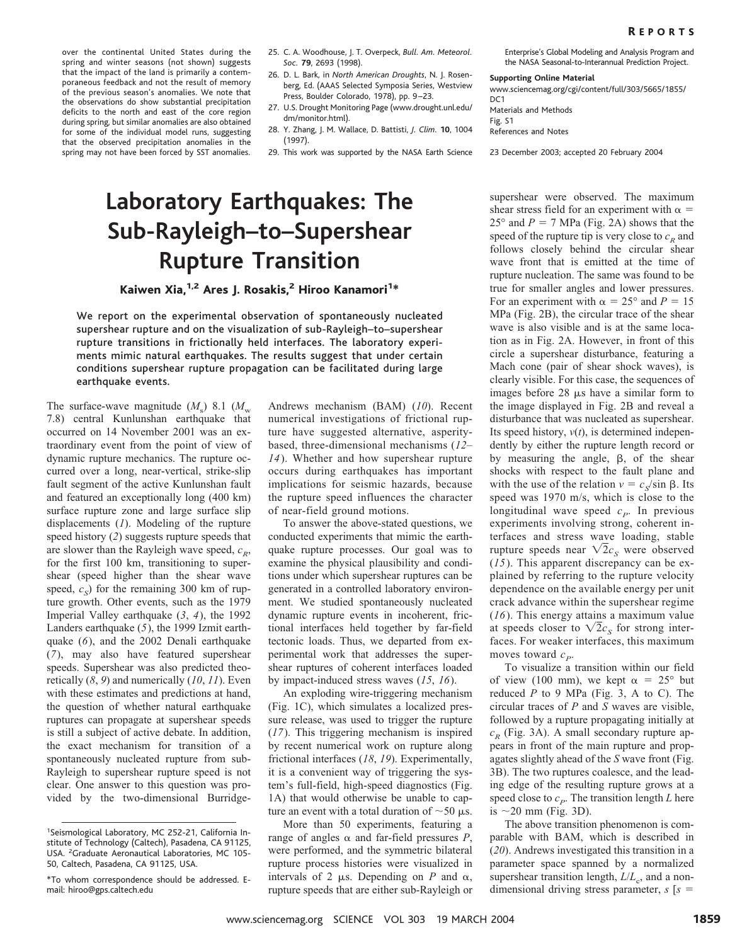over the continental United States during the spring and winter seasons (not shown) suggests that the impact of the land is primarily a contemporaneous feedback and not the result of memory of the previous season's anomalies. We note that the observations do show substantial precipitation deficits to the north and east of the core region during spring, but similar anomalies are also obtained for some of the individual model runs, suggesting that the observed precipitation anomalies in the spring may not have been forced by SST anomalies.

- 25. C. A. Woodhouse, J. T. Overpeck, *Bull. Am. Meteorol. Soc.* **79**,2693 (1998).
- 26. D. L. Bark, in *North American Droughts*, N. J. Rosenberg, Ed. (AAAS Selected Symposia Series, Westview Press, Boulder Colorado, 1978), pp. 9-23.
- 27. U.S. Drought Monitoring Page (www.drought.unl.edu/ dm/monitor.html).
- 28. Y. Zhang,J. M. Wallace,D. Battisti, *J. Clim.* **10**,1004 (1997).
- 29. This work was supported by the NASA Earth Science

## **Laboratory Earthquakes: The Sub-Rayleigh–to–Supershear Rupture Transition**

Kaiwen Xia,<sup>1,2</sup> Ares J. Rosakis,<sup>2</sup> Hiroo Kanamori<sup>1</sup>\*

We report on the experimental observation of spontaneously nucleated supershear rupture and on the visualization of sub-Rayleigh–to–supershear rupture transitions in frictionally held interfaces. The laboratory experiments mimic natural earthquakes. The results suggest that under certain conditions supershear rupture propagation can be facilitated during large earthquake events.

The surface-wave magnitude  $(M_s)$  8.1  $(M_w)$ 7.8) central Kunlunshan earthquake that occurred on 14 November 2001 was an extraordinary event from the point of view of dynamic rupture mechanics. The rupture occurred over a long, near-vertical, strike-slip fault segment of the active Kunlunshan fault and featured an exceptionally long (400 km) surface rupture zone and large surface slip displacements (*1*). Modeling of the rupture speed history (*2*) suggests rupture speeds that are slower than the Rayleigh wave speed,  $c_R$ , for the first 100 km, transitioning to supershear (speed higher than the shear wave speed,  $c_s$ ) for the remaining 300 km of rupture growth. Other events, such as the 1979 Imperial Valley earthquake (*3*, *4*), the 1992 Landers earthquake (*5*), the 1999 Izmit earthquake (*6*), and the 2002 Denali earthquake (*7*), may also have featured supershear speeds. Supershear was also predicted theoretically (*8*, *9*) and numerically (*10*, *11*). Even with these estimates and predictions at hand, the question of whether natural earthquake ruptures can propagate at supershear speeds is still a subject of active debate. In addition, the exact mechanism for transition of a spontaneously nucleated rupture from sub-Rayleigh to supershear rupture speed is not clear. One answer to this question was provided by the two-dimensional BurridgeAndrews mechanism (BAM) (*10*). Recent numerical investigations of frictional rupture have suggested alternative, asperitybased, three-dimensional mechanisms (*12*– *14*). Whether and how supershear rupture occurs during earthquakes has important implications for seismic hazards, because the rupture speed influences the character of near-field ground motions.

To answer the above-stated questions, we conducted experiments that mimic the earthquake rupture processes. Our goal was to examine the physical plausibility and conditions under which supershear ruptures can be generated in a controlled laboratory environment. We studied spontaneously nucleated dynamic rupture events in incoherent, frictional interfaces held together by far-field tectonic loads. Thus, we departed from experimental work that addresses the supershear ruptures of coherent interfaces loaded by impact-induced stress waves (*15*, *16*).

An exploding wire-triggering mechanism (Fig. 1C), which simulates a localized pressure release, was used to trigger the rupture (*17*). This triggering mechanism is inspired by recent numerical work on rupture along frictional interfaces (*18*, *19*). Experimentally, it is a convenient way of triggering the system's full-field, high-speed diagnostics (Fig. 1A) that would otherwise be unable to capture an event with a total duration of  $\sim$  50  $\mu$ s.

More than 50 experiments, featuring a range of angles  $\alpha$  and far-field pressures *P*, were performed, and the symmetric bilateral rupture process histories were visualized in intervals of 2  $\mu$ s. Depending on *P* and  $\alpha$ , rupture speeds that are either sub-Rayleigh or Enterprise's Global Modeling and Analysis Program and the NASA Seasonal-to-Interannual Prediction Project.

## **Supporting Online Material**

www.sciencemag.org/cgi/content/full/303/5665/1855/  $DC1$ 

Materials and Methods Fig. S1

References and Notes

23 December 2003; accepted 20 February 2004

supershear were observed. The maximum shear stress field for an experiment with  $\alpha =$  $25^{\circ}$  and  $P = 7$  MPa (Fig. 2A) shows that the speed of the rupture tip is very close to  $c<sub>p</sub>$  and follows closely behind the circular shear wave front that is emitted at the time of rupture nucleation. The same was found to be true for smaller angles and lower pressures. For an experiment with  $\alpha = 25^{\circ}$  and  $P = 15$ MPa (Fig. 2B), the circular trace of the shear wave is also visible and is at the same location as in Fig. 2A. However, in front of this circle a supershear disturbance, featuring a Mach cone (pair of shear shock waves), is clearly visible. For this case, the sequences of images before  $28 \mu s$  have a similar form to the image displayed in Fig. 2B and reveal a disturbance that was nucleated as supershear. Its speed history,  $v(t)$ , is determined independently by either the rupture length record or by measuring the angle,  $\beta$ , of the shear shocks with respect to the fault plane and with the use of the relation  $v = c_s / \sin \beta$ . Its speed was 1970 m/s, which is close to the longitudinal wave speed  $c_P$ . In previous experiments involving strong, coherent interfaces and stress wave loading, stable rupture speeds near  $\sqrt{2}c_s$  were observed (*15*). This apparent discrepancy can be explained by referring to the rupture velocity dependence on the available energy per unit crack advance within the supershear regime (*16*). This energy attains a maximum value at speeds closer to  $\sqrt{2}c_s$  for strong interfaces. For weaker interfaces, this maximum moves toward  $c_p$ .

To visualize a transition within our field of view (100 mm), we kept  $\alpha = 25^{\circ}$  but reduced *P* to 9 MPa (Fig. 3, A to C). The circular traces of *P* and *S* waves are visible, followed by a rupture propagating initially at  $c_R$  (Fig. 3A). A small secondary rupture appears in front of the main rupture and propagates slightly ahead of the *S* wave front (Fig. 3B). The two ruptures coalesce, and the leading edge of the resulting rupture grows at a speed close to  $c_p$ . The transition length *L* here is  $\sim$ 20 mm (Fig. 3D).

The above transition phenomenon is comparable with BAM, which is described in (*20*). Andrews investigated this transition in a parameter space spanned by a normalized supershear transition length,  $L/L_c$ , and a nondimensional driving stress parameter, *s* [*s*

<sup>&</sup>lt;sup>1</sup>Seismological Laboratory, MC 252-21, California Institute of Technology (Caltech), Pasadena, CA 91125, USA. <sup>2</sup> Graduate Aeronautical Laboratories, MC 105-50, Caltech, Pasadena, CA 91125, USA.

<sup>\*</sup>To whom correspondence should be addressed. Email: hiroo@gps.caltech.edu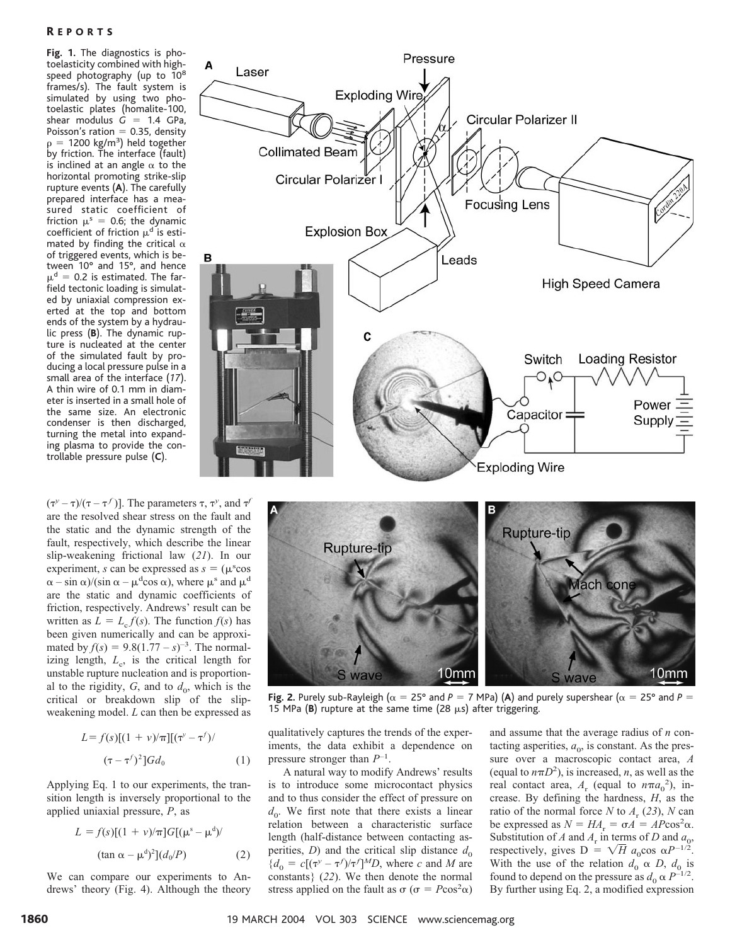**Fig. 1.** The diagnostics is photoelasticity combined with highspeed photography (up to 10<sup>8</sup> frames/s). The fault system is simulated by using two photoelastic plates (homalite-100, shear modulus  $G = 1.4$  GPa, Poisson's ration  $= 0.35$ , density  $\rho = 1200 \text{ kg/m}^3$ ) held together by friction. The interface (fault) is inclined at an angle  $\alpha$  to the horizontal promoting strike-slip rupture events (**A**). The carefully prepared interface has a measured static coefficient of friction  $\mu^s = 0.6$ ; the dynamic coefficient of friction  $\mu^d$  is estimated by finding the critical  $\alpha$ of triggered events,which is between  $10^{\circ}$  and  $15^{\circ}$ , and hence  $\mu^{\text{d}} = 0.2$  is estimated. The farfield tectonic loading is simulated by uniaxial compression exerted at the top and bottom ends of the system by a hydraulic press (**B**). The dynamic rupture is nucleated at the center of the simulated fault by producing a local pressure pulse in a small area of the interface (*17*). A thin wire of 0.1 mm in diameter is inserted in a small hole of the same size. An electronic condenser is then discharged, turning the metal into expanding plasma to provide the controllable pressure pulse (**C**).

 $(\tau^y - \tau)/(\tau - \tau^f)$ ]. The parameters  $\tau$ ,  $\tau^y$ , and  $\tau^f$ are the resolved shear stress on the fault and the static and the dynamic strength of the fault, respectively, which describe the linear slip-weakening frictional law (*21*). In our experiment, *s* can be expressed as  $s = (\mu^s \cos \theta)$  $\alpha - \sin \alpha$ /(sin  $\alpha - \mu^d \cos \alpha$ ), where  $\mu^s$  and  $\mu^d$ are the static and dynamic coefficients of friction, respectively. Andrews' result can be written as  $L = L_c f(s)$ . The function  $f(s)$  has been given numerically and can be approximated by  $f(s) = 9.8(1.77 - s)^{-3}$ . The normalizing length,  $L_c$ , is the critical length for unstable rupture nucleation and is proportional to the rigidity,  $G$ , and to  $d_0$ , which is the critical or breakdown slip of the slipweakening model. *L* can then be expressed as

$$
L = f(s)[(1 + v)/\pi][(\tau^{\nu} - \tau^f)/(\tau - \tau^f)^2]Gd_0
$$
 (1)

Applying Eq. 1 to our experiments, the transition length is inversely proportional to the applied uniaxial pressure, *P*, as

$$
L = f(s)[(1 + v)/\pi]G[(\mu^s - \mu^d)/
$$
  
(tan  $\alpha - \mu^d$ )<sup>2</sup>]( $d_0/P$ ) (2)

We can compare our experiments to Andrews' theory (Fig. 4). Although the theory





**Fig. 2.** Purely sub-Rayleigh ( $\alpha = 25^\circ$  and  $P = 7$  MPa) (A) and purely supershear ( $\alpha = 25^\circ$  and  $P =$ 15 MPa (B) rupture at the same time (28  $\mu$ s) after triggering.

qualitatively captures the trends of the experiments, the data exhibit a dependence on pressure stronger than *P*–1 .

A natural way to modify Andrews' results is to introduce some microcontact physics and to thus consider the effect of pressure on  $d_{0}$ . We first note that there exists a linear relation between a characteristic surface length (half-distance between contacting asperities, *D*) and the critical slip distance  $d_0$  ${d_0 = c[(\tau^{\gamma} - \tau^{\gamma})/\tau^{\gamma}]^M}D$ , where *c* and *M* are constants} (*22*). We then denote the normal stress applied on the fault as  $\sigma$  ( $\sigma = P\cos^2\alpha$ )

and assume that the average radius of *n* contacting asperities,  $a_0$ , is constant. As the pressure over a macroscopic contact area, *A* (equal to  $n\pi D^2$ ), is increased, *n*, as well as the real contact area,  $A_r$  (equal to  $n\pi a_0^2$ ), increase. By defining the hardness, *H*, as the ratio of the normal force *N* to  $A_r$  (23), *N* can be expressed as  $N = HA_r = \sigma A = AP\cos^2\alpha$ . Substitution of *A* and  $A_r$  in terms of *D* and  $a_0$ , respectively, gives  $D = \sqrt{H} a_0 \cos \alpha P^{-1/2}$ . With the use of the relation  $d_0 \alpha D$ ,  $d_0$  is found to depend on the pressure as  $d_0 \propto P^{-1/2}$ . By further using Eq. 2, a modified expression